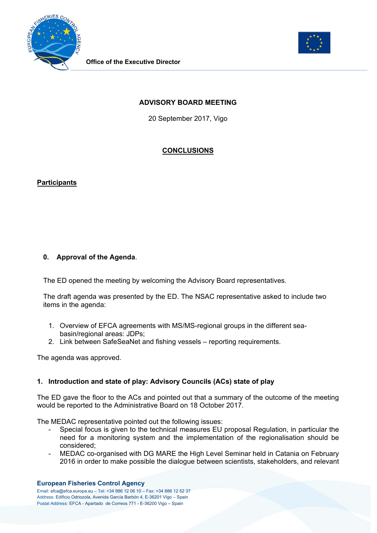



## **ADVISORY BOARD MEETING**

20 September 2017, Vigo

# **CONCLUSIONS**

### **Participants**

# **0. Approval of the Agenda**.

The ED opened the meeting by welcoming the Advisory Board representatives.

The draft agenda was presented by the ED. The NSAC representative asked to include two items in the agenda:

- 1. Overview of EFCA agreements with MS/MS-regional groups in the different seabasin/regional areas: JDPs;
- 2. Link between SafeSeaNet and fishing vessels reporting requirements.

The agenda was approved.

### **1. Introduction and state of play: Advisory Councils (ACs) state of play**

The ED gave the floor to the ACs and pointed out that a summary of the outcome of the meeting would be reported to the Administrative Board on 18 October 2017.

The MEDAC representative pointed out the following issues:

- Special focus is given to the technical measures EU proposal Regulation, in particular the need for a monitoring system and the implementation of the regionalisation should be considered;
- MEDAC co-organised with DG MARE the High Level Seminar held in Catania on February 2016 in order to make possible the dialogue between scientists, stakeholders, and relevant

#### **European Fisheries Control Agency**

Email: efca@efca.europa.eu – Tel: +34 986 12 06 10 – Fax: +34 886 12 52 37 Address: Edificio Odriozola, Avenida García Barbón 4, E-36201 Vigo – Spain Postal Address: EFCA - Apartado de Correos 771 - E-36200 Vigo – Spain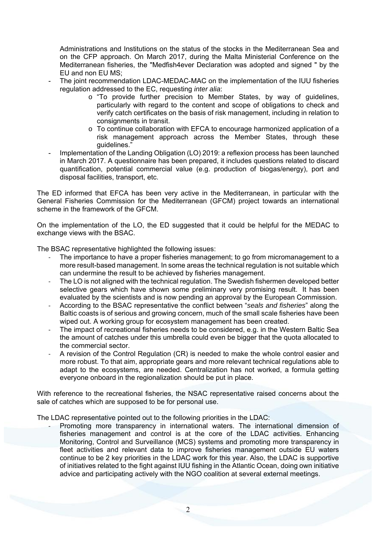Administrations and Institutions on the status of the stocks in the Mediterranean Sea and on the CFP approach. On March 2017, during the Malta Ministerial Conference on the Mediterranean fisheries, the "Medfish4ever Declaration was adopted and signed " by the EU and non EU MS;

- The joint recommendation LDAC-MEDAC-MAC on the implementation of the IUU fisheries regulation addressed to the EC, requesting *inter alia*:
	- o "To provide further precision to Member States, by way of guidelines, particularly with regard to the content and scope of obligations to check and verify catch certificates on the basis of risk management, including in relation to consignments in transit.
	- o To continue collaboration with EFCA to encourage harmonized application of a risk management approach across the Member States, through these guidelines."
- Implementation of the Landing Obligation (LO) 2019: a reflexion process has been launched in March 2017. A questionnaire has been prepared, it includes questions related to discard quantification, potential commercial value (e.g. production of biogas/energy), port and disposal facilities, transport, etc.

The ED informed that EFCA has been very active in the Mediterranean, in particular with the General Fisheries Commission for the Mediterranean (GFCM) project towards an international scheme in the framework of the GFCM.

On the implementation of the LO, the ED suggested that it could be helpful for the MEDAC to exchange views with the BSAC.

The BSAC representative highlighted the following issues:

- The importance to have a proper fisheries management; to go from micromanagement to a more result-based management. In some areas the technical regulation is not suitable which can undermine the result to be achieved by fisheries management.
- ‐ The LO is not aligned with the technical regulation. The Swedish fishermen developed better selective gears which have shown some preliminary very promising result. It has been evaluated by the scientists and is now pending an approval by the European Commission.
- ‐ According to the BSAC representative the conflict between "*seals and fisheries*" along the Baltic coasts is of serious and growing concern, much of the small scale fisheries have been wiped out. A working group for ecosystem management has been created.
- The impact of recreational fisheries needs to be considered, e.g. in the Western Baltic Sea the amount of catches under this umbrella could even be bigger that the quota allocated to the commercial sector.
- ‐ A revision of the Control Regulation (CR) is needed to make the whole control easier and more robust. To that aim, appropriate gears and more relevant technical regulations able to adapt to the ecosystems, are needed. Centralization has not worked, a formula getting everyone onboard in the regionalization should be put in place.

With reference to the recreational fisheries, the NSAC representative raised concerns about the sale of catches which are supposed to be for personal use.

The LDAC representative pointed out to the following priorities in the LDAC:

Promoting more transparency in international waters. The international dimension of fisheries management and control is at the core of the LDAC activities. Enhancing Monitoring, Control and Surveillance (MCS) systems and promoting more transparency in fleet activities and relevant data to improve fisheries management outside EU waters continue to be 2 key priorities in the LDAC work for this year. Also, the LDAC is supportive of initiatives related to the fight against IUU fishing in the Atlantic Ocean, doing own initiative advice and participating actively with the NGO coalition at several external meetings.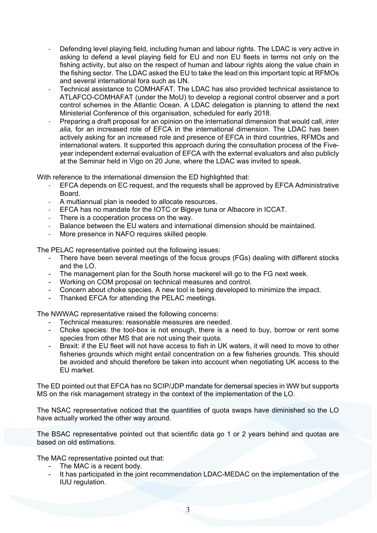- Defending level playing field, including human and labour rights. The LDAC is very active in asking to defend a level playing field for EU and non EU fleets in terms not only on the fishing activity, but also on the respect of human and labour rights along the value chain in the fishing sector. The LDAC asked the EU to take the lead on this important topic at RFMOs and several international fora such as UN.
- ‐ Technical assistance to COMHAFAT. The LDAC has also provided technical assistance to ATLAFCO-COMHAFAT (under the MoU) to develop a regional control observer and a port control schemes in the Atlantic Ocean. A LDAC delegation is planning to attend the next Ministerial Conference of this organisation, scheduled for early 2018.
- ‐ Preparing a draft proposal for an opinion on the international dimension that would call, *inter alia,* for an increased role of EFCA in the international dimension. The LDAC has been actively asking for an increased role and presence of EFCA in third countries, RFMOs and international waters. It supported this approach during the consultation process of the Fiveyear independent external evaluation of EFCA with the external evaluators and also publicly at the Seminar held in Vigo on 20 June, where the LDAC was invited to speak.

With reference to the international dimension the ED highlighted that:

- ‐ EFCA depends on EC request, and the requests shall be approved by EFCA Administrative Board.
- ‐ A multiannual plan is needed to allocate resources.
- ‐ EFCA has no mandate for the IOTC or Bigeye tuna or Albacore in ICCAT.
- There is a cooperation process on the way.
- ‐ Balance between the EU waters and international dimension should be maintained.
- More presence in NAFO requires skilled people.

The PELAC representative pointed out the following issues:

- There have been several meetings of the focus groups (FGs) dealing with different stocks and the LO.
- The management plan for the South horse mackerel will go to the FG next week.
- Working on COM proposal on technical measures and control.
- Concern about choke species. A new tool is being developed to minimize the impact.
- Thanked EFCA for attending the PELAC meetings.

The NWWAC representative raised the following concerns:

- Technical measures: reasonable measures are needed.
- Choke species: the tool-box is not enough, there is a need to buy, borrow or rent some species from other MS that are not using their quota.
- Brexit: if the EU fleet will not have access to fish in UK waters, it will need to move to other fisheries grounds which might entail concentration on a few fisheries grounds. This should be avoided and should therefore be taken into account when negotiating UK access to the EU market.

The ED pointed out that EFCA has no SCIP/JDP mandate for demersal species in WW but supports MS on the risk management strategy in the context of the implementation of the LO.

The NSAC representative noticed that the quantities of quota swaps have diminished so the LO have actually worked the other way around.

The BSAC representative pointed out that scientific data go 1 or 2 years behind and quotas are based on old estimations.

The MAC representative pointed out that:

- The MAC is a recent body.
- It has participated in the joint recommendation LDAC-MEDAC on the implementation of the IUU regulation.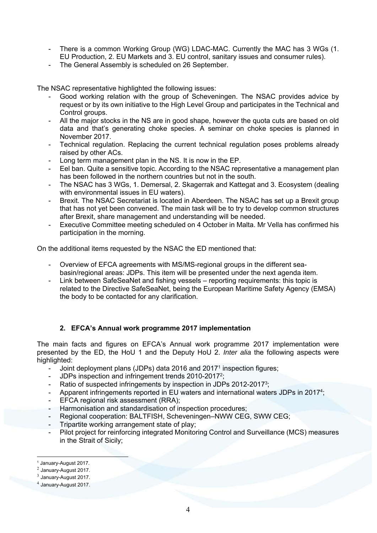- There is a common Working Group (WG) LDAC-MAC. Currently the MAC has 3 WGs (1. EU Production, 2. EU Markets and 3. EU control, sanitary issues and consumer rules).
- The General Assembly is scheduled on 26 September.

The NSAC representative highlighted the following issues:

- Good working relation with the group of Scheveningen. The NSAC provides advice by request or by its own initiative to the High Level Group and participates in the Technical and Control groups.
- All the major stocks in the NS are in good shape, however the quota cuts are based on old data and that's generating choke species. A seminar on choke species is planned in November 2017.
- Technical regulation. Replacing the current technical regulation poses problems already raised by other ACs.
- Long term management plan in the NS. It is now in the EP.
- Eel ban. Quite a sensitive topic. According to the NSAC representative a management plan has been followed in the northern countries but not in the south.
- The NSAC has 3 WGs, 1. Demersal, 2. Skagerrak and Kattegat and 3. Ecosystem (dealing with environmental issues in EU waters).
- Brexit. The NSAC Secretariat is located in Aberdeen. The NSAC has set up a Brexit group that has not yet been convened. The main task will be to try to develop common structures after Brexit, share management and understanding will be needed.
- Executive Committee meeting scheduled on 4 October in Malta. Mr Vella has confirmed his participation in the morning.

On the additional items requested by the NSAC the ED mentioned that:

- Overview of EFCA agreements with MS/MS-regional groups in the different seabasin/regional areas: JDPs. This item will be presented under the next agenda item.
- Link between SafeSeaNet and fishing vessels reporting requirements: this topic is related to the Directive SafeSeaNet, being the European Maritime Safety Agency (EMSA) the body to be contacted for any clarification.

### **2. EFCA's Annual work programme 2017 implementation**

The main facts and figures on EFCA's Annual work programme 2017 implementation were presented by the ED, the HoU 1 and the Deputy HoU 2. *Inter alia* the following aspects were highlighted:

- Joint deployment plans (JDPs) data 2016 and 2017<sup>1</sup> inspection figures;
- JDPs inspection and infringement trends 2010-2017<sup>2</sup>;
- Ratio of suspected infringements by inspection in JDPs 2012-2017<sup>3</sup>;
- Apparent infringements reported in EU waters and international waters JDPs in 2017<sup>4</sup>;
- EFCA regional risk assessment (RRA);
- Harmonisation and standardisation of inspection procedures;
- Regional cooperation: BALTFISH, Scheveningen–NWW CEG, SWW CEG;
- Tripartite working arrangement state of play:
- Pilot project for reinforcing integrated Monitoring Control and Surveillance (MCS) measures in the Strait of Sicily;

1

<sup>1</sup> January-August 2017.

<sup>2</sup> January-August 2017.

 $3$  January-August 2017.

<sup>4</sup> January-August 2017.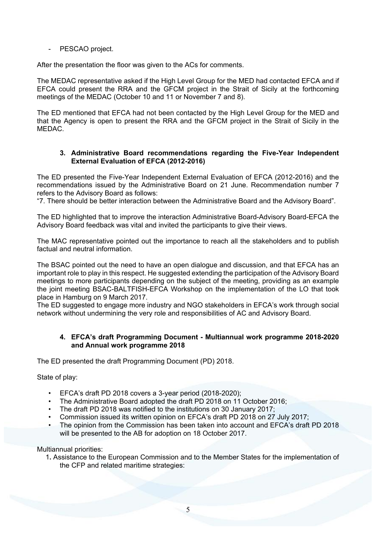### PESCAO project.

After the presentation the floor was given to the ACs for comments.

The MEDAC representative asked if the High Level Group for the MED had contacted EFCA and if EFCA could present the RRA and the GFCM project in the Strait of Sicily at the forthcoming meetings of the MEDAC (October 10 and 11 or November 7 and 8).

The ED mentioned that EFCA had not been contacted by the High Level Group for the MED and that the Agency is open to present the RRA and the GFCM project in the Strait of Sicily in the MEDAC.

#### **3. Administrative Board recommendations regarding the Five-Year Independent External Evaluation of EFCA (2012-2016)**

The ED presented the Five-Year Independent External Evaluation of EFCA (2012-2016) and the recommendations issued by the Administrative Board on 21 June. Recommendation number 7 refers to the Advisory Board as follows:

"7. There should be better interaction between the Administrative Board and the Advisory Board".

The ED highlighted that to improve the interaction Administrative Board-Advisory Board-EFCA the Advisory Board feedback was vital and invited the participants to give their views.

The MAC representative pointed out the importance to reach all the stakeholders and to publish factual and neutral information.

The BSAC pointed out the need to have an open dialogue and discussion, and that EFCA has an important role to play in this respect. He suggested extending the participation of the Advisory Board meetings to more participants depending on the subject of the meeting, providing as an example the joint meeting BSAC-BALTFISH-EFCA Workshop on the implementation of the LO that took place in Hamburg on 9 March 2017.

The ED suggested to engage more industry and NGO stakeholders in EFCA's work through social network without undermining the very role and responsibilities of AC and Advisory Board.

### **4. EFCA's draft Programming Document - Multiannual work programme 2018-2020 and Annual work programme 2018**

The ED presented the draft Programming Document (PD) 2018.

State of play:

- EFCA's draft PD 2018 covers a 3-year period (2018-2020);
- The Administrative Board adopted the draft PD 2018 on 11 October 2016;
- The draft PD 2018 was notified to the institutions on 30 January 2017;
- Commission issued its written opinion on EFCA's draft PD 2018 on 27 July 2017;
- The opinion from the Commission has been taken into account and EFCA's draft PD 2018 will be presented to the AB for adoption on 18 October 2017.

Multiannual priorities:

1**.** Assistance to the European Commission and to the Member States for the implementation of the CFP and related maritime strategies: